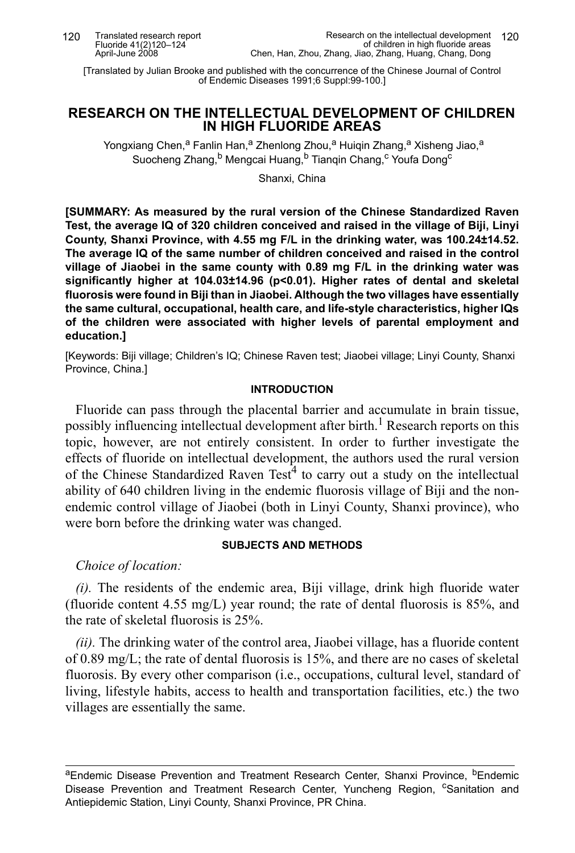[Translated by Julian Brooke and published with the concurrence of the Chinese Journal of Control of Endemic Diseases 1991;6 Suppl:99-100.]

# **RESEARCH ON THE INTELLECTUAL DEVELOPMENT OF CHILDREN IN HIGH FLUORIDE AREAS**

Yongxiang Chen,<sup>a</sup> Fanlin Han,<sup>a</sup> Zhenlong Zhou,<sup>a</sup> Huigin Zhang,<sup>a</sup> Xisheng Jiao,<sup>a</sup> Suocheng Zhang, <sup>b</sup> Mengcai Huang, <sup>b</sup> Tianqin Chang, <sup>c</sup> Youfa Dong<sup>c</sup>

Shanxi, China

**[SUMMARY: As measured by the rural version of the Chinese Standardized Raven Test, the average IQ of 320 children conceived and raised in the village of Biji, Linyi County, Shanxi Province, with 4.55 mg F/L in the drinking water, was 100.24±14.52. The average IQ of the same number of children conceived and raised in the control village of Jiaobei in the same county with 0.89 mg F/L in the drinking water was significantly higher at 104.03±14.96 (p<0.01). Higher rates of dental and skeletal fluorosis were found in Biji than in Jiaobei. Although the two villages have essentially the same cultural, occupational, health care, and life-style characteristics, higher IQs of the children were associated with higher levels of parental employment and education.]**

[Keywords: Biji village; Children's IQ; Chinese Raven test; Jiaobei village; Linyi County, Shanxi Province, China.]

# **INTRODUCTION**

Fluoride can pass through the placental barrier and accumulate in brain tissue, possibly influencing intellectual development after birth.<sup>1</sup> Research reports on this topic, however, are not entirely consistent. In order to further investigate the effects of fluoride on intellectual development, the authors used the rural version of the Chinese Standardized Raven Test<sup>4</sup> to carry out a study on the intellectual ability of 640 children living in the endemic fluorosis village of Biji and the nonendemic control village of Jiaobei (both in Linyi County, Shanxi province), who were born before the drinking water was changed.

## **SUBJECTS AND METHODS**

*Choice of location:*

*(i).* The residents of the endemic area, Biji village, drink high fluoride water (fluoride content 4.55 mg/L) year round; the rate of dental fluorosis is  $85\%$ , and the rate of skeletal fluorosis is 25%.

*(ii).* The drinking water of the control area, Jiaobei village, has a fluoride content of 0.89 mg/L; the rate of dental fluorosis is 15%, and there are no cases of skeletal fluorosis. By every other comparison (i.e., occupations, cultural level, standard of living, lifestyle habits, access to health and transportation facilities, etc.) the two villages are essentially the same.

<sup>a</sup>Endemic Disease Prevention and Treatment Research Center, Shanxi Province, <sup>b</sup>Endemic Disease Prevention and Treatment Research Center, Yuncheng Region, <sup>c</sup>Sanitation and Antiepidemic Station, Linyi County, Shanxi Province, PR China.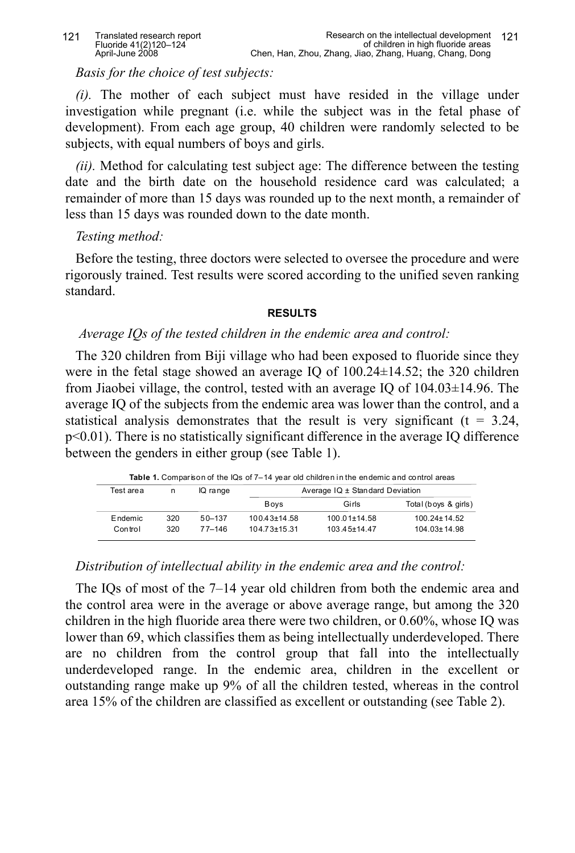*Basis for the choice of test subjects:*

*(i).* The mother of each subject must have resided in the village under investigation while pregnant (i.e. while the subject was in the fetal phase of development). From each age group, 40 children were randomly selected to be subjects, with equal numbers of boys and girls.

*(ii).* Method for calculating test subject age: The difference between the testing date and the birth date on the household residence card was calculated; a remainder of more than 15 days was rounded up to the next month, a remainder of less than 15 days was rounded down to the date month.

# *Testing method:*

Before the testing, three doctors were selected to oversee the procedure and were rigorously trained. Test results were scored according to the unified seven ranking standard.

#### **RESULTS**

# *Average IQs of the tested children in the endemic area and control:*

The 320 children from Biji village who had been exposed to fluoride since they were in the fetal stage showed an average IQ of 100.24±14.52; the 320 children from Jiaobei village, the control, tested with an average IQ of 104.03±14.96. The average IQ of the subjects from the endemic area was lower than the control, and a statistical analysis demonstrates that the result is very significant ( $t = 3.24$ , p<0.01). There is no statistically significant difference in the average IQ difference between the genders in either group (see Table 1).

 **Table 1.** Comparison of the IQs of 7–14 year old children in the endemic and control areas

| Test are a | n   | IQ range   | Average IQ ± Standard Deviation |                    |                      |  |
|------------|-----|------------|---------------------------------|--------------------|----------------------|--|
|            |     |            | <b>Boys</b>                     | Girls              | Total (boys & girls) |  |
| Endemic    | 320 | 50-137     | $100.43 \pm 14.58$              | $100.01 \pm 14.58$ | $100.24 \pm 14.52$   |  |
| Control    | 320 | $77 - 146$ | $104.73 \pm 15.31$              | $103.45 \pm 14.47$ | $104.03 \pm 14.98$   |  |

## *Distribution of intellectual ability in the endemic area and the control:*

The IQs of most of the 7–14 year old children from both the endemic area and the control area were in the average or above average range, but among the 320 children in the high fluoride area there were two children, or 0.60%, whose IQ was lower than 69, which classifies them as being intellectually underdeveloped. There are no children from the control group that fall into the intellectually underdeveloped range. In the endemic area, children in the excellent or outstanding range make up 9% of all the children tested, whereas in the control area 15% of the children are classified as excellent or outstanding (see Table 2).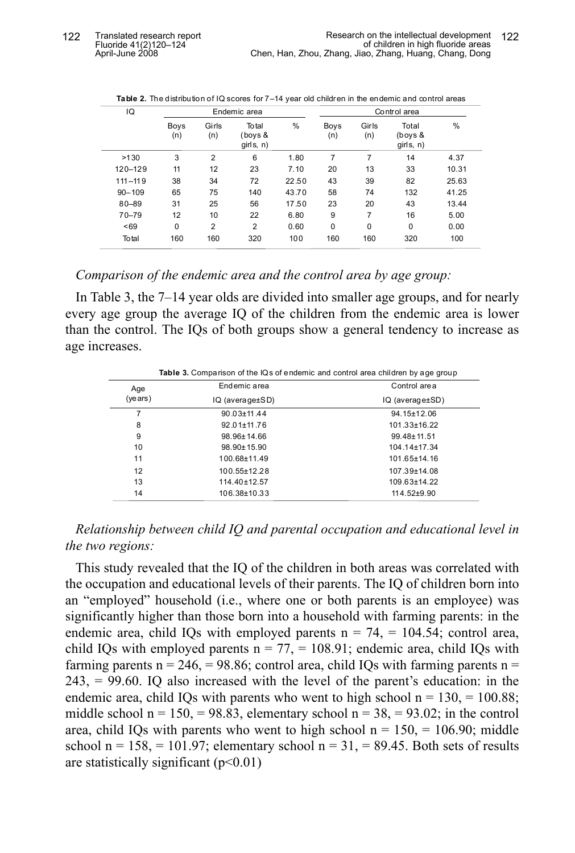| IQ          |             |                | Endemic area                  |       |             |              | Control area                  |       |
|-------------|-------------|----------------|-------------------------------|-------|-------------|--------------|-------------------------------|-------|
|             | Boys<br>(n) | Girls<br>(n)   | Total<br>(boys &<br>girls, n) | %     | Boys<br>(n) | Girls<br>(n) | Total<br>(boys &<br>girls, n) | $\%$  |
| >130        | 3           | $\overline{2}$ | 6                             | 1.80  | 7           | 7            | 14                            | 4.37  |
| 120-129     | 11          | 12             | 23                            | 7.10  | 20          | 13           | 33                            | 10.31 |
| $111 - 119$ | 38          | 34             | 72                            | 22.50 | 43          | 39           | 82                            | 25.63 |
| $90 - 109$  | 65          | 75             | 140                           | 43.70 | 58          | 74           | 132                           | 41.25 |
| $80 - 89$   | 31          | 25             | 56                            | 17.50 | 23          | 20           | 43                            | 13.44 |
| $70 - 79$   | 12          | 10             | 22                            | 6.80  | 9           | 7            | 16                            | 5.00  |
| ~169        | $\mathbf 0$ | $\overline{2}$ | $\overline{2}$                | 0.60  | $\mathbf 0$ | $\mathbf 0$  | 0                             | 0.00  |
| Total       | 160         | 160            | 320                           | 100   | 160         | 160          | 320                           | 100   |
|             |             |                |                               |       |             |              |                               |       |

**Table 2.** The distribution of IQ scores for 7–14 year old children in the endemic and control areas

*Comparison of the endemic area and the control area by age group:*

In Table 3, the 7–14 year olds are divided into smaller age groups, and for nearly every age group the average IQ of the children from the endemic area is lower than the control. The IQs of both groups show a general tendency to increase as age increases.

| <b>Table 3.</b> Comparison of the IQs of endemic and control area children by age group |                    |                                          |  |  |
|-----------------------------------------------------------------------------------------|--------------------|------------------------------------------|--|--|
| Age                                                                                     | Endemic area       | Control area<br>$IQ$ (average $\pm SD$ ) |  |  |
| (years)                                                                                 | IQ (average±SD)    |                                          |  |  |
| 7                                                                                       | $90.03 \pm 11.44$  | $94.15 \pm 12.06$                        |  |  |
| 8                                                                                       | $92.01 \pm 11.76$  | $101.33 \pm 16.22$                       |  |  |
| 9                                                                                       | $98.96 \pm 14.66$  | $99.48 \pm 11.51$                        |  |  |
| 10                                                                                      | $98.90 \pm 15.90$  | $104.14 \pm 17.34$                       |  |  |
| 11                                                                                      | 100.68±11.49       | $101.65 \pm 14.16$                       |  |  |
| 12                                                                                      | $100.55 \pm 12.28$ | 107.39±14.08                             |  |  |
| 13                                                                                      | $114.40 \pm 12.57$ | $109.63 \pm 14.22$                       |  |  |
| 14                                                                                      | 106.38±10.33       | $114.52 + 9.90$                          |  |  |

*Relationship between child IQ and parental occupation and educational level in the two regions:*

This study revealed that the IQ of the children in both areas was correlated with the occupation and educational levels of their parents. The IQ of children born into an "employed" household (i.e., where one or both parents is an employee) was significantly higher than those born into a household with farming parents: in the endemic area, child IQs with employed parents  $n = 74$ ,  $= 104.54$ ; control area, child IQs with employed parents  $n = 77$ ,  $= 108.91$ ; endemic area, child IQs with farming parents  $n = 246$ ,  $= 98.86$ ; control area, child IQs with farming parents  $n =$ 243, = 99.60. IQ also increased with the level of the parent's education: in the endemic area, child IQs with parents who went to high school  $n = 130, = 100.88$ ; middle school  $n = 150$ ,  $= 98.83$ , elementary school  $n = 38$ ,  $= 93.02$ ; in the control area, child IQs with parents who went to high school  $n = 150$ ,  $= 106.90$ ; middle school  $n = 158$ ,  $= 101.97$ ; elementary school  $n = 31$ ,  $= 89.45$ . Both sets of results are statistically significant  $(p<0.01)$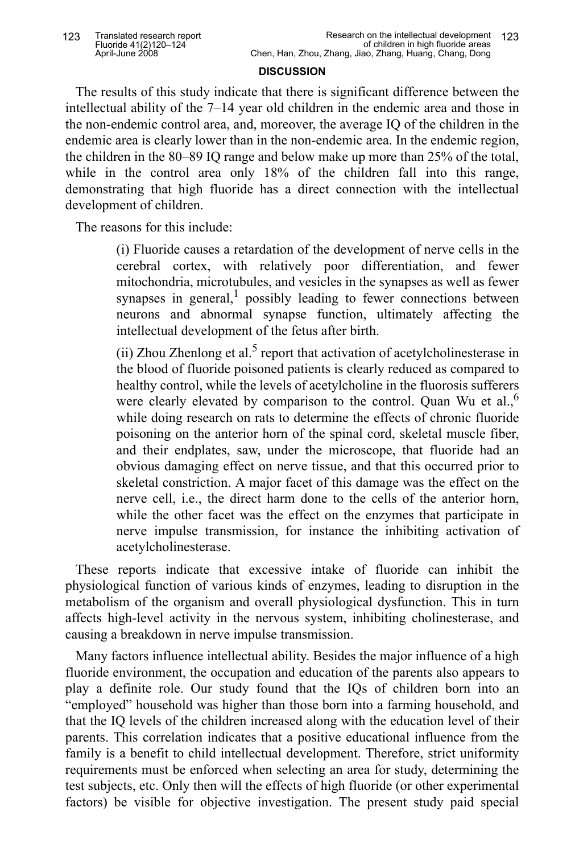#### **DISCUSSION**

The results of this study indicate that there is significant difference between the intellectual ability of the 7–14 year old children in the endemic area and those in the non-endemic control area, and, moreover, the average IQ of the children in the endemic area is clearly lower than in the non-endemic area. In the endemic region, the children in the 80–89 IQ range and below make up more than 25% of the total, while in the control area only 18% of the children fall into this range, demonstrating that high fluoride has a direct connection with the intellectual development of children.

The reasons for this include:

(i) Fluoride causes a retardation of the development of nerve cells in the cerebral cortex, with relatively poor differentiation, and fewer mitochondria, microtubules, and vesicles in the synapses as well as fewer synapses in general,<sup>1</sup> possibly leading to fewer connections between neurons and abnormal synapse function, ultimately affecting the intellectual development of the fetus after birth.

(ii) Zhou Zhenlong et al.<sup>5</sup> report that activation of acetylcholinesterase in the blood of fluoride poisoned patients is clearly reduced as compared to healthy control, while the levels of acetylcholine in the fluorosis sufferers were clearly elevated by comparison to the control. Quan Wu et al.,<sup>6</sup> while doing research on rats to determine the effects of chronic fluoride poisoning on the anterior horn of the spinal cord, skeletal muscle fiber, and their endplates, saw, under the microscope, that fluoride had an obvious damaging effect on nerve tissue, and that this occurred prior to skeletal constriction. A major facet of this damage was the effect on the nerve cell, i.e., the direct harm done to the cells of the anterior horn, while the other facet was the effect on the enzymes that participate in nerve impulse transmission, for instance the inhibiting activation of acetylcholinesterase.

These reports indicate that excessive intake of fluoride can inhibit the physiological function of various kinds of enzymes, leading to disruption in the metabolism of the organism and overall physiological dysfunction. This in turn affects high-level activity in the nervous system, inhibiting cholinesterase, and causing a breakdown in nerve impulse transmission.

Many factors influence intellectual ability. Besides the major influence of a high fluoride environment, the occupation and education of the parents also appears to play a definite role. Our study found that the IQs of children born into an "employed" household was higher than those born into a farming household, and that the IQ levels of the children increased along with the education level of their parents. This correlation indicates that a positive educational influence from the family is a benefit to child intellectual development. Therefore, strict uniformity requirements must be enforced when selecting an area for study, determining the test subjects, etc. Only then will the effects of high fluoride (or other experimental factors) be visible for objective investigation. The present study paid special